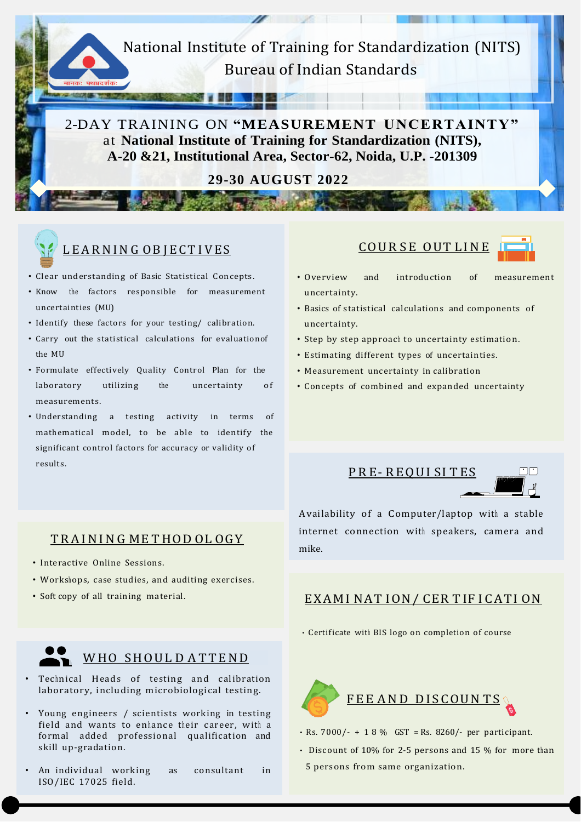National Institute of Training for Standardization (NITS) Bureau of Indian Standards

**By Strip** 

2-DAY TRAINING ON **"MEASUREMENT UNCERTAINTY"** at **National Institute of Training for Standardization (NITS), A-20 &21, Institutional Area, Sector-62, Noida, U.P. -201309**

**29-30 AUGUST 2022**

Car Thinki



# L E A R N I N G O B J E C T I V E S

- Clear understanding of Basic Statistical Concepts.
- Know the factors responsible for measurement uncertainties (MU)
- Identify these factors for your testing/ calibration.
- Carry out the statistical calculations for evaluationof the MU
- Formulate effectively Quality Control Plan for the laboratory measurements. utilizing the uncertainty of
- Understanding a testing activity in terms of mathematical model, to be able to identify the significant control factors for accuracy or validity of results.





- Overview uncertainty. and introduction of measurement
- Basics of statistical calculations and components of uncertainty.
- Step by step approach to uncertainty estimation.
- Estimating different types of uncertainties.
- Measurement uncertainty in calibration
- Concepts of combined and expanded uncertainty



Availability of a Computer/laptop with a stable internet connection with speakers, camera and mike.

#### TRAINING ME THOD OL OGY

- Interactive Online Sessions.
- Workshops, case studies, and auditing exercises.
- Soft copy of all training material.



### WHO SHOUL DATTEND

- Technical Heads of testing and calibration laboratory, including microbiological testing.
- Young engineers / scientists working in testing field and wants to enhance their career, with a formal added professional qualification and skill up-gradation.
- An individual working as consultant in ISO/IEC 17025 field.

#### EXAMI NATION/ CERTIFICATION

• Certificate with BIS logo on completion of course



- $\cdot$  Rs. 7000/- + 1 8 % GST = Rs. 8260/- per participant.
- Discount of 10% for 2-5 persons and 15 % for more than 5 persons from same organization.